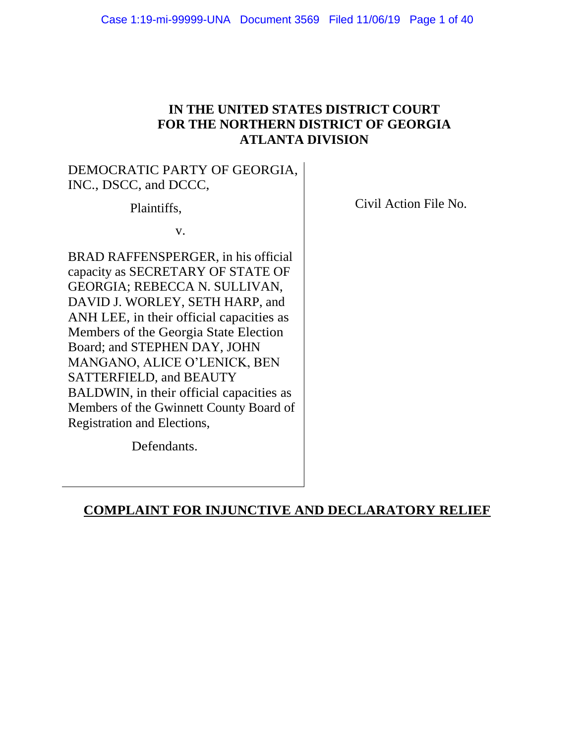## **IN THE UNITED STATES DISTRICT COURT FOR THE NORTHERN DISTRICT OF GEORGIA ATLANTA DIVISION**

## DEMOCRATIC PARTY OF GEORGIA, INC., DSCC, and DCCC,

Plaintiffs,

v.

BRAD RAFFENSPERGER, in his official capacity as SECRETARY OF STATE OF GEORGIA; REBECCA N. SULLIVAN, DAVID J. WORLEY, SETH HARP, and ANH LEE, in their official capacities as Members of the Georgia State Election Board; and STEPHEN DAY, JOHN MANGANO, ALICE O'LENICK, BEN SATTERFIELD, and BEAUTY BALDWIN, in their official capacities as Members of the Gwinnett County Board of Registration and Elections,

Civil Action File No.

Defendants.

## **COMPLAINT FOR INJUNCTIVE AND DECLARATORY RELIEF**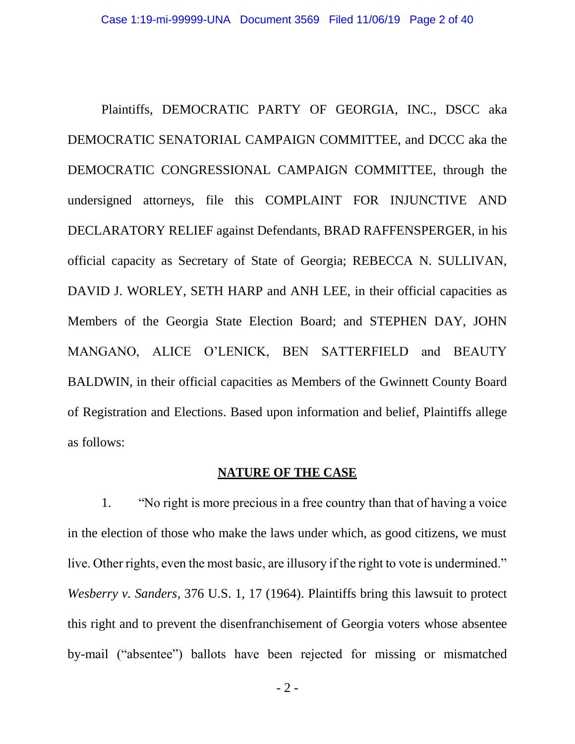Plaintiffs, DEMOCRATIC PARTY OF GEORGIA, INC., DSCC aka DEMOCRATIC SENATORIAL CAMPAIGN COMMITTEE, and DCCC aka the DEMOCRATIC CONGRESSIONAL CAMPAIGN COMMITTEE, through the undersigned attorneys, file this COMPLAINT FOR INJUNCTIVE AND DECLARATORY RELIEF against Defendants, BRAD RAFFENSPERGER, in his official capacity as Secretary of State of Georgia; REBECCA N. SULLIVAN, DAVID J. WORLEY, SETH HARP and ANH LEE, in their official capacities as Members of the Georgia State Election Board; and STEPHEN DAY, JOHN MANGANO, ALICE O'LENICK, BEN SATTERFIELD and BEAUTY BALDWIN, in their official capacities as Members of the Gwinnett County Board of Registration and Elections. Based upon information and belief, Plaintiffs allege as follows:

### **NATURE OF THE CASE**

1. "No right is more precious in a free country than that of having a voice in the election of those who make the laws under which, as good citizens, we must live. Other rights, even the most basic, are illusory if the right to vote is undermined." *Wesberry v. Sanders*, 376 U.S. 1, 17 (1964). Plaintiffs bring this lawsuit to protect this right and to prevent the disenfranchisement of Georgia voters whose absentee by-mail ("absentee") ballots have been rejected for missing or mismatched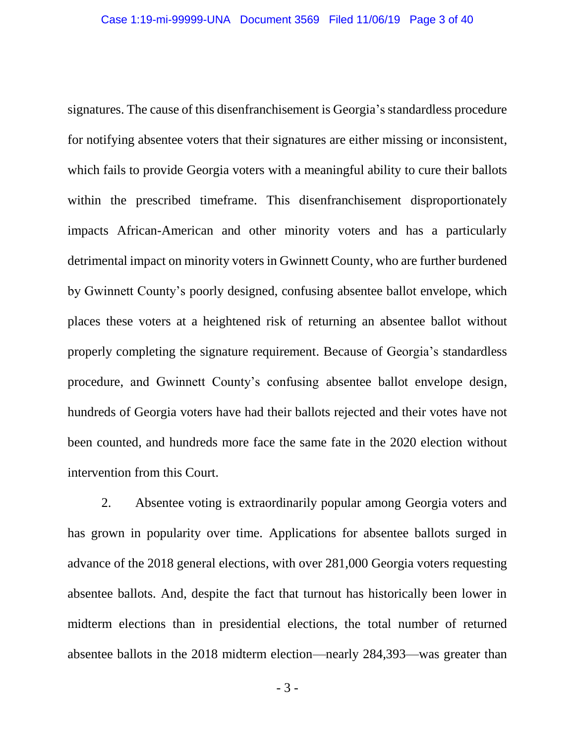signatures. The cause of this disenfranchisement is Georgia's standardless procedure for notifying absentee voters that their signatures are either missing or inconsistent, which fails to provide Georgia voters with a meaningful ability to cure their ballots within the prescribed timeframe. This disenfranchisement disproportionately impacts African-American and other minority voters and has a particularly detrimental impact on minority voters in Gwinnett County, who are further burdened by Gwinnett County's poorly designed, confusing absentee ballot envelope, which places these voters at a heightened risk of returning an absentee ballot without properly completing the signature requirement. Because of Georgia's standardless procedure, and Gwinnett County's confusing absentee ballot envelope design, hundreds of Georgia voters have had their ballots rejected and their votes have not been counted, and hundreds more face the same fate in the 2020 election without intervention from this Court.

2. Absentee voting is extraordinarily popular among Georgia voters and has grown in popularity over time. Applications for absentee ballots surged in advance of the 2018 general elections, with over 281,000 Georgia voters requesting absentee ballots. And, despite the fact that turnout has historically been lower in midterm elections than in presidential elections, the total number of returned absentee ballots in the 2018 midterm election⸺nearly 284,393⸺was greater than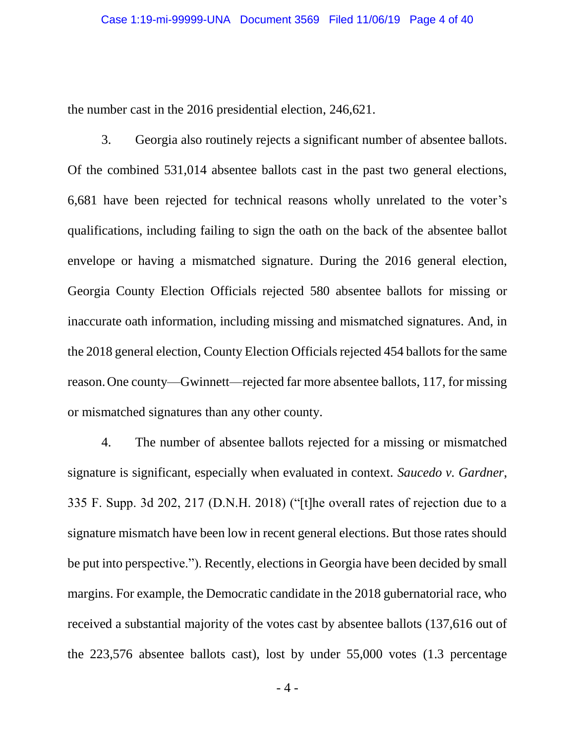the number cast in the 2016 presidential election, 246,621.

3. Georgia also routinely rejects a significant number of absentee ballots. Of the combined 531,014 absentee ballots cast in the past two general elections, 6,681 have been rejected for technical reasons wholly unrelated to the voter's qualifications, including failing to sign the oath on the back of the absentee ballot envelope or having a mismatched signature. During the 2016 general election, Georgia County Election Officials rejected 580 absentee ballots for missing or inaccurate oath information, including missing and mismatched signatures. And, in the 2018 general election, County Election Officials rejected 454 ballots for the same reason.One county—Gwinnett—rejected far more absentee ballots, 117, for missing or mismatched signatures than any other county.

4. The number of absentee ballots rejected for a missing or mismatched signature is significant, especially when evaluated in context. *Saucedo v. Gardner*, 335 F. Supp. 3d 202, 217 (D.N.H. 2018) ("[t]he overall rates of rejection due to a signature mismatch have been low in recent general elections. But those rates should be put into perspective."). Recently, elections in Georgia have been decided by small margins. For example, the Democratic candidate in the 2018 gubernatorial race, who received a substantial majority of the votes cast by absentee ballots (137,616 out of the 223,576 absentee ballots cast), lost by under 55,000 votes (1.3 percentage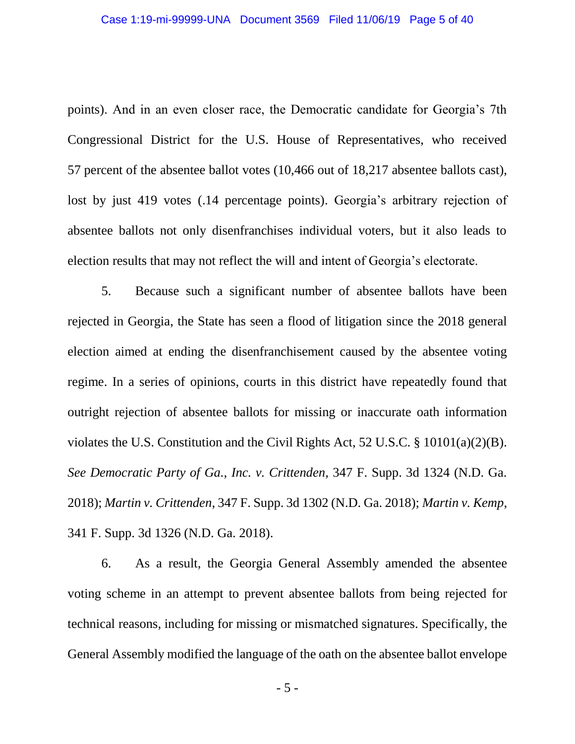points). And in an even closer race, the Democratic candidate for Georgia's 7th Congressional District for the U.S. House of Representatives, who received 57 percent of the absentee ballot votes (10,466 out of 18,217 absentee ballots cast), lost by just 419 votes (.14 percentage points). Georgia's arbitrary rejection of absentee ballots not only disenfranchises individual voters, but it also leads to election results that may not reflect the will and intent of Georgia's electorate.

5. Because such a significant number of absentee ballots have been rejected in Georgia, the State has seen a flood of litigation since the 2018 general election aimed at ending the disenfranchisement caused by the absentee voting regime. In a series of opinions, courts in this district have repeatedly found that outright rejection of absentee ballots for missing or inaccurate oath information violates the U.S. Constitution and the Civil Rights Act, 52 U.S.C. § 10101(a)(2)(B). *See Democratic Party of Ga., Inc. v. Crittenden*, 347 F. Supp. 3d 1324 (N.D. Ga. 2018); *Martin v. Crittenden*, 347 F. Supp. 3d 1302 (N.D. Ga. 2018); *Martin v. Kemp*, 341 F. Supp. 3d 1326 (N.D. Ga. 2018).

6. As a result, the Georgia General Assembly amended the absentee voting scheme in an attempt to prevent absentee ballots from being rejected for technical reasons, including for missing or mismatched signatures. Specifically, the General Assembly modified the language of the oath on the absentee ballot envelope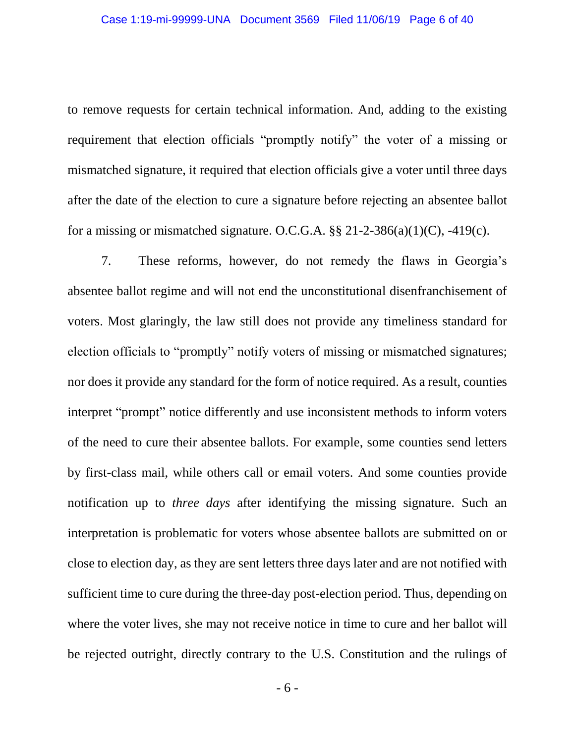to remove requests for certain technical information. And, adding to the existing requirement that election officials "promptly notify" the voter of a missing or mismatched signature, it required that election officials give a voter until three days after the date of the election to cure a signature before rejecting an absentee ballot for a missing or mismatched signature. O.C.G.A.  $\S$ § 21-2-386(a)(1)(C), -419(c).

7. These reforms, however, do not remedy the flaws in Georgia's absentee ballot regime and will not end the unconstitutional disenfranchisement of voters. Most glaringly, the law still does not provide any timeliness standard for election officials to "promptly" notify voters of missing or mismatched signatures; nor does it provide any standard for the form of notice required. As a result, counties interpret "prompt" notice differently and use inconsistent methods to inform voters of the need to cure their absentee ballots. For example, some counties send letters by first-class mail, while others call or email voters. And some counties provide notification up to *three days* after identifying the missing signature. Such an interpretation is problematic for voters whose absentee ballots are submitted on or close to election day, as they are sent letters three days later and are not notified with sufficient time to cure during the three-day post-election period. Thus, depending on where the voter lives, she may not receive notice in time to cure and her ballot will be rejected outright, directly contrary to the U.S. Constitution and the rulings of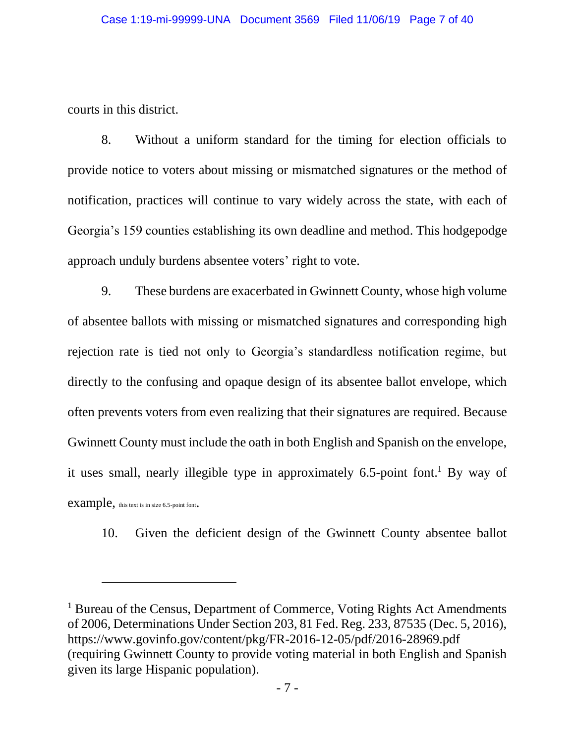courts in this district.

 $\overline{a}$ 

8. Without a uniform standard for the timing for election officials to provide notice to voters about missing or mismatched signatures or the method of notification, practices will continue to vary widely across the state, with each of Georgia's 159 counties establishing its own deadline and method. This hodgepodge approach unduly burdens absentee voters' right to vote.

9. These burdens are exacerbated in Gwinnett County, whose high volume of absentee ballots with missing or mismatched signatures and corresponding high rejection rate is tied not only to Georgia's standardless notification regime, but directly to the confusing and opaque design of its absentee ballot envelope, which often prevents voters from even realizing that their signatures are required. Because Gwinnett County must include the oath in both English and Spanish on the envelope, it uses small, nearly illegible type in approximately 6.5-point font. <sup>1</sup> By way of example, this text is in size 6.5-point font.

10. Given the deficient design of the Gwinnett County absentee ballot

<sup>&</sup>lt;sup>1</sup> Bureau of the Census, Department of Commerce, Voting Rights Act Amendments of 2006, Determinations Under Section 203, 81 Fed. Reg. 233, 87535 (Dec. 5, 2016), https://www.govinfo.gov/content/pkg/FR-2016-12-05/pdf/2016-28969.pdf (requiring Gwinnett County to provide voting material in both English and Spanish given its large Hispanic population).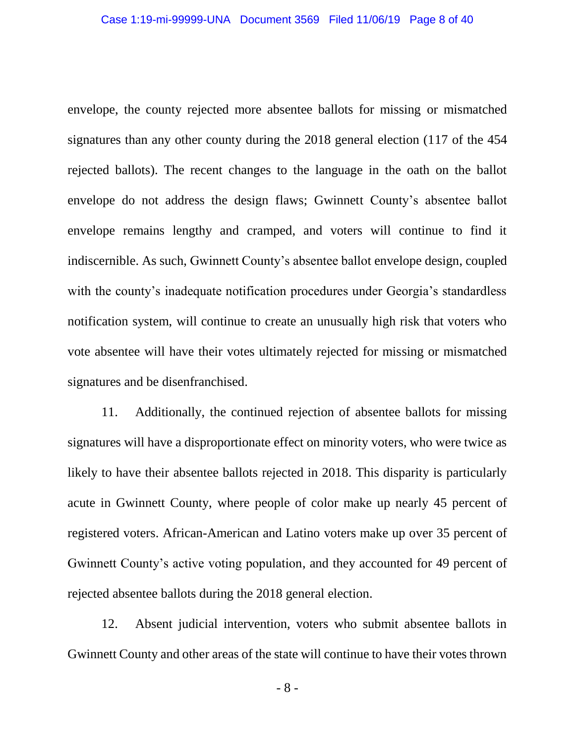envelope, the county rejected more absentee ballots for missing or mismatched signatures than any other county during the 2018 general election (117 of the 454 rejected ballots). The recent changes to the language in the oath on the ballot envelope do not address the design flaws; Gwinnett County's absentee ballot envelope remains lengthy and cramped, and voters will continue to find it indiscernible. As such, Gwinnett County's absentee ballot envelope design, coupled with the county's inadequate notification procedures under Georgia's standardless notification system, will continue to create an unusually high risk that voters who vote absentee will have their votes ultimately rejected for missing or mismatched signatures and be disenfranchised.

11. Additionally, the continued rejection of absentee ballots for missing signatures will have a disproportionate effect on minority voters, who were twice as likely to have their absentee ballots rejected in 2018. This disparity is particularly acute in Gwinnett County, where people of color make up nearly 45 percent of registered voters. African-American and Latino voters make up over 35 percent of Gwinnett County's active voting population, and they accounted for 49 percent of rejected absentee ballots during the 2018 general election.

12. Absent judicial intervention, voters who submit absentee ballots in Gwinnett County and other areas of the state will continue to have their votes thrown

- 8 -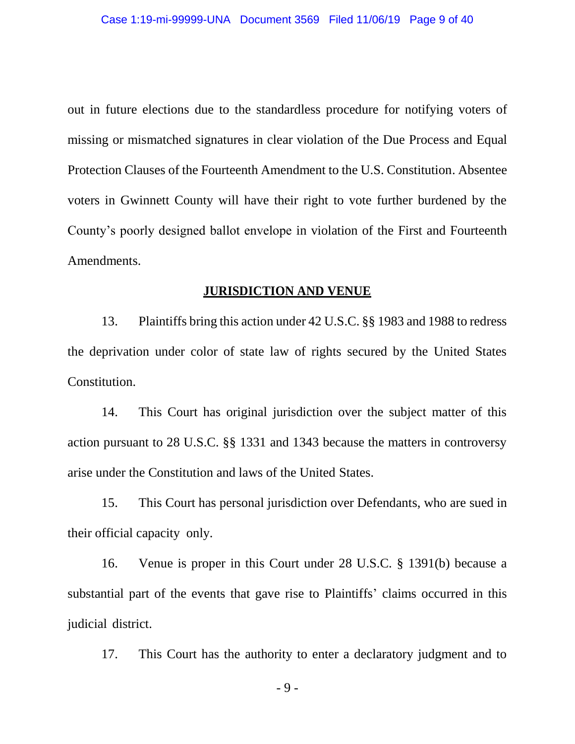out in future elections due to the standardless procedure for notifying voters of missing or mismatched signatures in clear violation of the Due Process and Equal Protection Clauses of the Fourteenth Amendment to the U.S. Constitution. Absentee voters in Gwinnett County will have their right to vote further burdened by the County's poorly designed ballot envelope in violation of the First and Fourteenth Amendments.

#### **JURISDICTION AND VENUE**

13. Plaintiffs bring this action under 42 U.S.C. §§ 1983 and 1988 to redress the deprivation under color of state law of rights secured by the United States Constitution.

14. This Court has original jurisdiction over the subject matter of this action pursuant to 28 U.S.C. §§ 1331 and 1343 because the matters in controversy arise under the Constitution and laws of the United States.

15. This Court has personal jurisdiction over Defendants, who are sued in their official capacity only.

16. Venue is proper in this Court under 28 U.S.C. § 1391(b) because a substantial part of the events that gave rise to Plaintiffs' claims occurred in this judicial district.

17. This Court has the authority to enter a declaratory judgment and to

- 9 -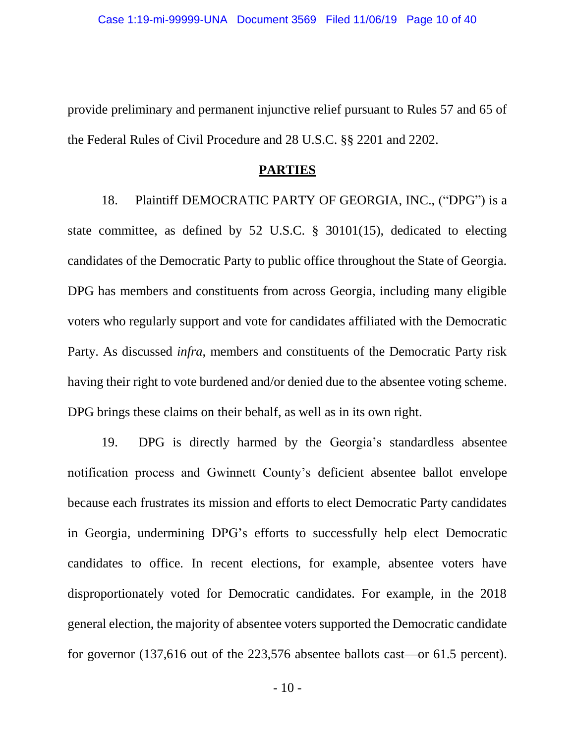provide preliminary and permanent injunctive relief pursuant to Rules 57 and 65 of the Federal Rules of Civil Procedure and 28 U.S.C. §§ 2201 and 2202.

#### **PARTIES**

18. Plaintiff DEMOCRATIC PARTY OF GEORGIA, INC., ("DPG") is a state committee, as defined by 52 U.S.C. § 30101(15), dedicated to electing candidates of the Democratic Party to public office throughout the State of Georgia. DPG has members and constituents from across Georgia, including many eligible voters who regularly support and vote for candidates affiliated with the Democratic Party. As discussed *infra*, members and constituents of the Democratic Party risk having their right to vote burdened and/or denied due to the absentee voting scheme. DPG brings these claims on their behalf, as well as in its own right.

19. DPG is directly harmed by the Georgia's standardless absentee notification process and Gwinnett County's deficient absentee ballot envelope because each frustrates its mission and efforts to elect Democratic Party candidates in Georgia, undermining DPG's efforts to successfully help elect Democratic candidates to office. In recent elections, for example, absentee voters have disproportionately voted for Democratic candidates. For example, in the 2018 general election, the majority of absentee voters supported the Democratic candidate for governor (137,616 out of the 223,576 absentee ballots cast—or 61.5 percent).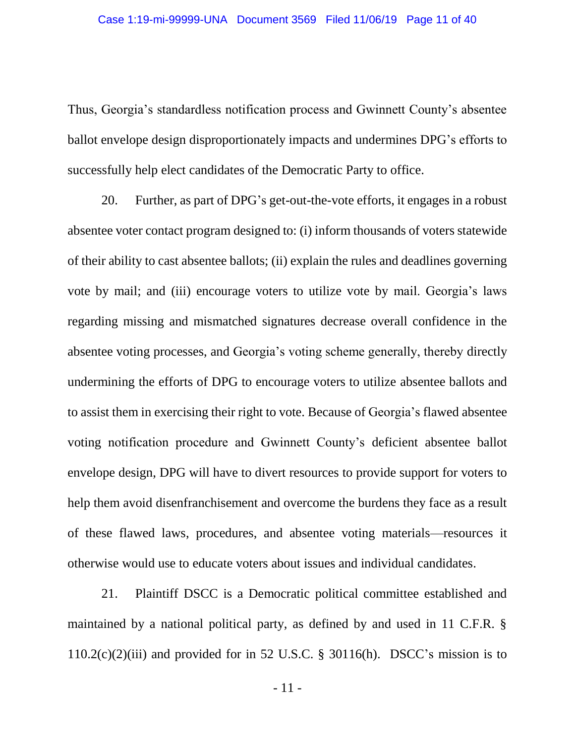Thus, Georgia's standardless notification process and Gwinnett County's absentee ballot envelope design disproportionately impacts and undermines DPG's efforts to successfully help elect candidates of the Democratic Party to office.

20. Further, as part of DPG's get-out-the-vote efforts, it engages in a robust absentee voter contact program designed to: (i) inform thousands of voters statewide of their ability to cast absentee ballots; (ii) explain the rules and deadlines governing vote by mail; and (iii) encourage voters to utilize vote by mail. Georgia's laws regarding missing and mismatched signatures decrease overall confidence in the absentee voting processes, and Georgia's voting scheme generally, thereby directly undermining the efforts of DPG to encourage voters to utilize absentee ballots and to assist them in exercising their right to vote. Because of Georgia's flawed absentee voting notification procedure and Gwinnett County's deficient absentee ballot envelope design, DPG will have to divert resources to provide support for voters to help them avoid disenfranchisement and overcome the burdens they face as a result of these flawed laws, procedures, and absentee voting materials⸺resources it otherwise would use to educate voters about issues and individual candidates.

21. Plaintiff DSCC is a Democratic political committee established and maintained by a national political party, as defined by and used in 11 C.F.R. §  $110.2(c)(2)(iii)$  and provided for in 52 U.S.C. § 30116(h). DSCC's mission is to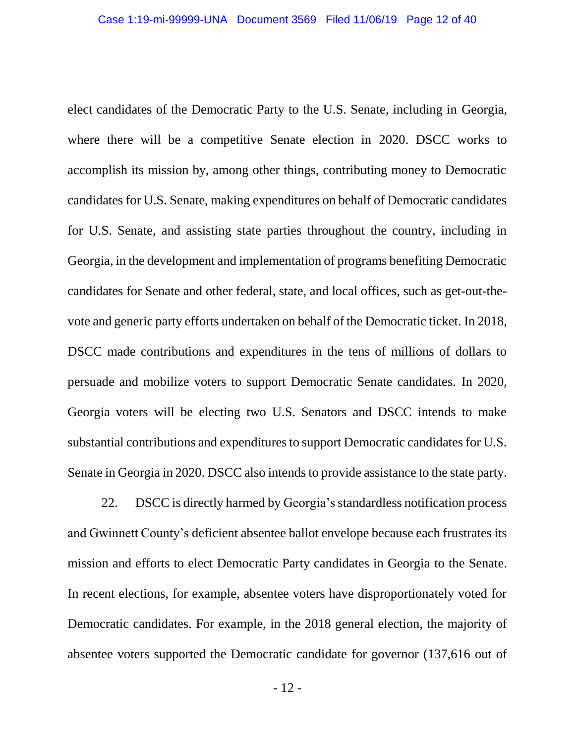elect candidates of the Democratic Party to the U.S. Senate, including in Georgia, where there will be a competitive Senate election in 2020. DSCC works to accomplish its mission by, among other things, contributing money to Democratic candidates for U.S. Senate, making expenditures on behalf of Democratic candidates for U.S. Senate, and assisting state parties throughout the country, including in Georgia, in the development and implementation of programs benefiting Democratic candidates for Senate and other federal, state, and local offices, such as get-out-thevote and generic party efforts undertaken on behalf of the Democratic ticket. In 2018, DSCC made contributions and expenditures in the tens of millions of dollars to persuade and mobilize voters to support Democratic Senate candidates. In 2020, Georgia voters will be electing two U.S. Senators and DSCC intends to make substantial contributions and expenditures to support Democratic candidates for U.S. Senate in Georgia in 2020. DSCC also intends to provide assistance to the state party.

22. DSCC is directly harmed by Georgia's standardless notification process and Gwinnett County's deficient absentee ballot envelope because each frustrates its mission and efforts to elect Democratic Party candidates in Georgia to the Senate. In recent elections, for example, absentee voters have disproportionately voted for Democratic candidates. For example, in the 2018 general election, the majority of absentee voters supported the Democratic candidate for governor (137,616 out of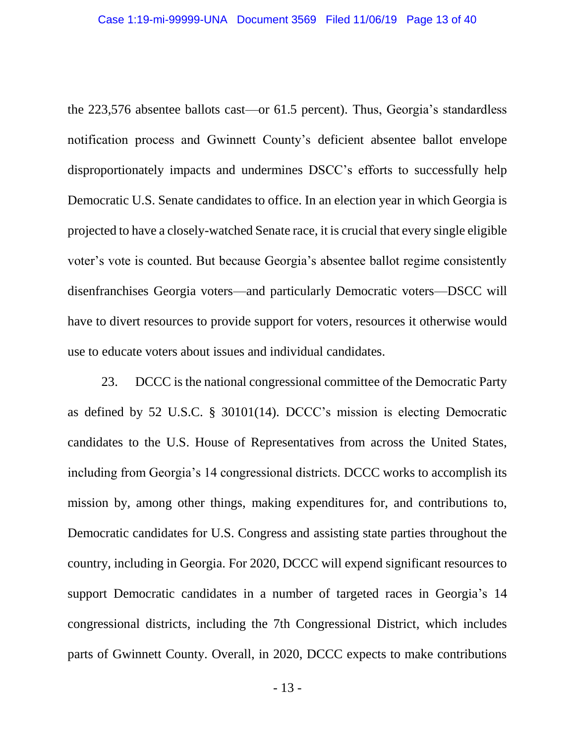the 223,576 absentee ballots cast—or 61.5 percent). Thus, Georgia's standardless notification process and Gwinnett County's deficient absentee ballot envelope disproportionately impacts and undermines DSCC's efforts to successfully help Democratic U.S. Senate candidates to office. In an election year in which Georgia is projected to have a closely-watched Senate race, it is crucial that every single eligible voter's vote is counted. But because Georgia's absentee ballot regime consistently disenfranchises Georgia voters—and particularly Democratic voters—DSCC will have to divert resources to provide support for voters, resources it otherwise would use to educate voters about issues and individual candidates.

23. DCCC is the national congressional committee of the Democratic Party as defined by 52 U.S.C. § 30101(14). DCCC's mission is electing Democratic candidates to the U.S. House of Representatives from across the United States, including from Georgia's 14 congressional districts. DCCC works to accomplish its mission by, among other things, making expenditures for, and contributions to, Democratic candidates for U.S. Congress and assisting state parties throughout the country, including in Georgia. For 2020, DCCC will expend significant resources to support Democratic candidates in a number of targeted races in Georgia's 14 congressional districts, including the 7th Congressional District, which includes parts of Gwinnett County. Overall, in 2020, DCCC expects to make contributions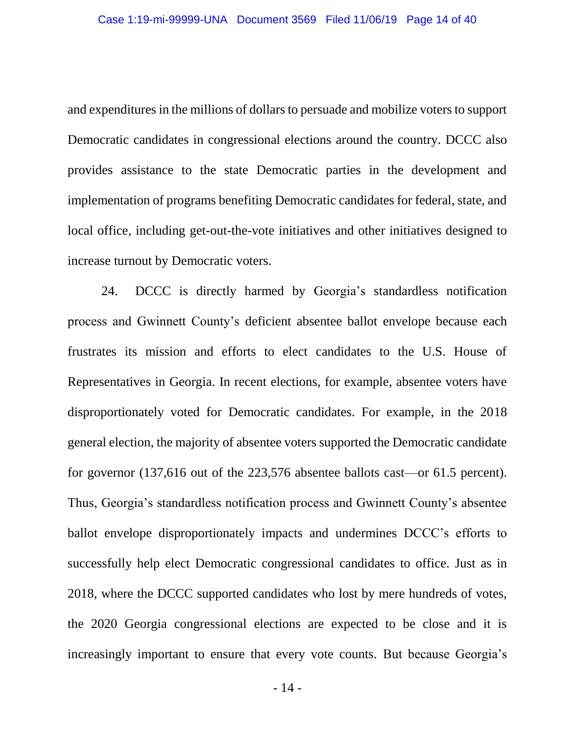and expenditures in the millions of dollars to persuade and mobilize voters to support Democratic candidates in congressional elections around the country. DCCC also provides assistance to the state Democratic parties in the development and implementation of programs benefiting Democratic candidates for federal, state, and local office, including get-out-the-vote initiatives and other initiatives designed to increase turnout by Democratic voters.

24. DCCC is directly harmed by Georgia's standardless notification process and Gwinnett County's deficient absentee ballot envelope because each frustrates its mission and efforts to elect candidates to the U.S. House of Representatives in Georgia. In recent elections, for example, absentee voters have disproportionately voted for Democratic candidates. For example, in the 2018 general election, the majority of absentee voters supported the Democratic candidate for governor (137,616 out of the 223,576 absentee ballots cast—or 61.5 percent). Thus, Georgia's standardless notification process and Gwinnett County's absentee ballot envelope disproportionately impacts and undermines DCCC's efforts to successfully help elect Democratic congressional candidates to office. Just as in 2018, where the DCCC supported candidates who lost by mere hundreds of votes, the 2020 Georgia congressional elections are expected to be close and it is increasingly important to ensure that every vote counts. But because Georgia's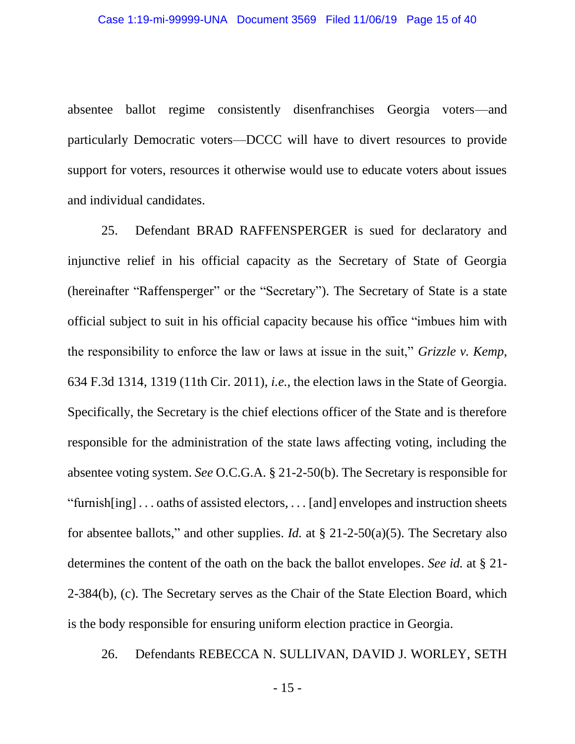absentee ballot regime consistently disenfranchises Georgia voters—and particularly Democratic voters—DCCC will have to divert resources to provide support for voters, resources it otherwise would use to educate voters about issues and individual candidates.

25. Defendant BRAD RAFFENSPERGER is sued for declaratory and injunctive relief in his official capacity as the Secretary of State of Georgia (hereinafter "Raffensperger" or the "Secretary"). The Secretary of State is a state official subject to suit in his official capacity because his office "imbues him with the responsibility to enforce the law or laws at issue in the suit," *Grizzle v. Kemp*, 634 F.3d 1314, 1319 (11th Cir. 2011), *i.e.*, the election laws in the State of Georgia. Specifically, the Secretary is the chief elections officer of the State and is therefore responsible for the administration of the state laws affecting voting, including the absentee voting system. *See* O.C.G.A. § 21-2-50(b). The Secretary is responsible for "furnish[ing] . . . oaths of assisted electors, . . . [and] envelopes and instruction sheets for absentee ballots," and other supplies. *Id.* at § 21-2-50(a)(5). The Secretary also determines the content of the oath on the back the ballot envelopes. *See id.* at § 21- 2-384(b), (c). The Secretary serves as the Chair of the State Election Board, which is the body responsible for ensuring uniform election practice in Georgia.

26. Defendants REBECCA N. SULLIVAN, DAVID J. WORLEY, SETH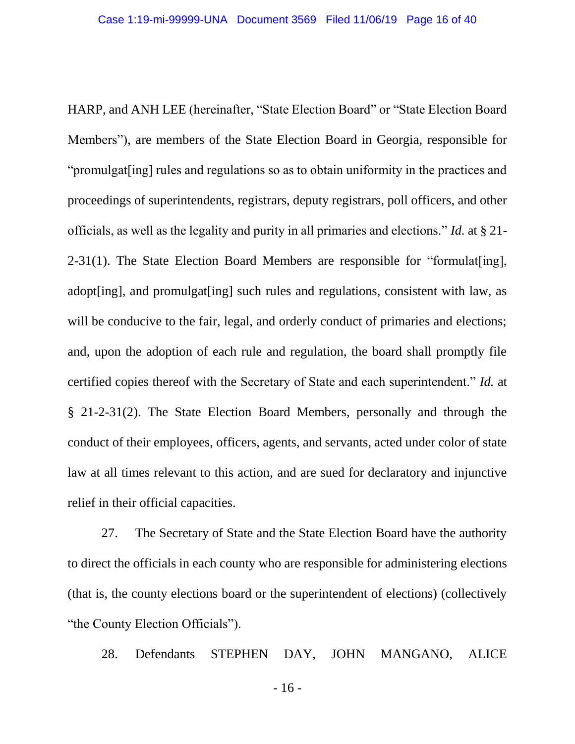HARP, and ANH LEE (hereinafter, "State Election Board" or "State Election Board Members"), are members of the State Election Board in Georgia, responsible for "promulgat [ing] rules and regulations so as to obtain uniformity in the practices and proceedings of superintendents, registrars, deputy registrars, poll officers, and other officials, as well as the legality and purity in all primaries and elections." *Id.* at § 21- 2-31(1). The State Election Board Members are responsible for "formulat[ing], adopt [ing], and promulgat [ing] such rules and regulations, consistent with law, as will be conducive to the fair, legal, and orderly conduct of primaries and elections; and, upon the adoption of each rule and regulation, the board shall promptly file certified copies thereof with the Secretary of State and each superintendent." *Id.* at § 21-2-31(2). The State Election Board Members, personally and through the conduct of their employees, officers, agents, and servants, acted under color of state law at all times relevant to this action, and are sued for declaratory and injunctive relief in their official capacities.

27. The Secretary of State and the State Election Board have the authority to direct the officials in each county who are responsible for administering elections (that is, the county elections board or the superintendent of elections) (collectively "the County Election Officials").

28. Defendants STEPHEN DAY, JOHN MANGANO, ALICE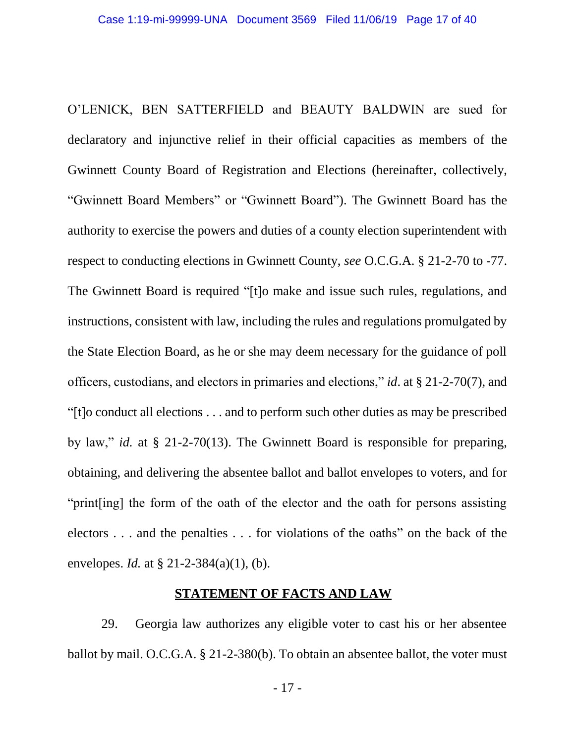O'LENICK, BEN SATTERFIELD and BEAUTY BALDWIN are sued for declaratory and injunctive relief in their official capacities as members of the Gwinnett County Board of Registration and Elections (hereinafter, collectively, "Gwinnett Board Members" or "Gwinnett Board"). The Gwinnett Board has the authority to exercise the powers and duties of a county election superintendent with respect to conducting elections in Gwinnett County, *see* O.C.G.A. § 21-2-70 to -77. The Gwinnett Board is required "[t]o make and issue such rules, regulations, and instructions, consistent with law, including the rules and regulations promulgated by the State Election Board, as he or she may deem necessary for the guidance of poll officers, custodians, and electors in primaries and elections," *id*. at § 21-2-70(7), and "[t]o conduct all elections . . . and to perform such other duties as may be prescribed by law," *id.* at § 21-2-70(13). The Gwinnett Board is responsible for preparing, obtaining, and delivering the absentee ballot and ballot envelopes to voters, and for "print[ing] the form of the oath of the elector and the oath for persons assisting electors . . . and the penalties . . . for violations of the oaths" on the back of the envelopes. *Id.* at § 21-2-384(a)(1), (b).

#### **STATEMENT OF FACTS AND LAW**

29. Georgia law authorizes any eligible voter to cast his or her absentee ballot by mail. O.C.G.A. § 21-2-380(b). To obtain an absentee ballot, the voter must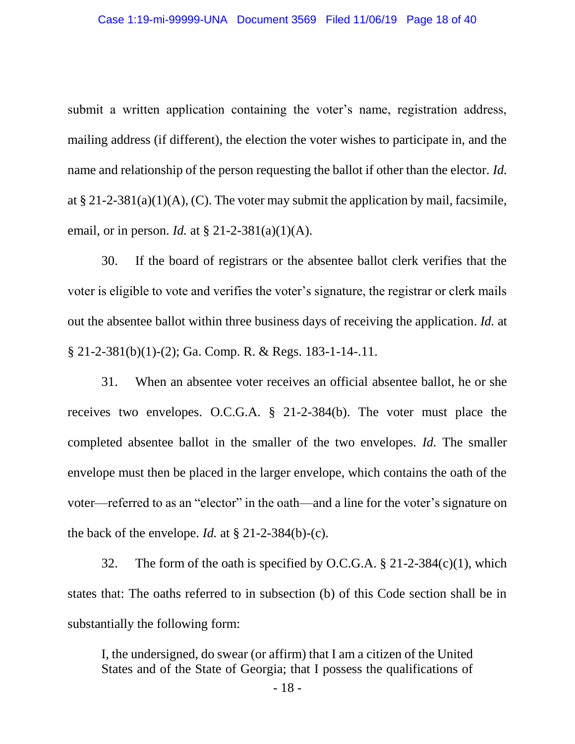submit a written application containing the voter's name, registration address, mailing address (if different), the election the voter wishes to participate in, and the name and relationship of the person requesting the ballot if other than the elector. *Id.* at § 21-2-381(a)(1)(A), (C). The voter may submit the application by mail, facsimile, email, or in person. *Id.* at § 21-2-381(a)(1)(A).

30. If the board of registrars or the absentee ballot clerk verifies that the voter is eligible to vote and verifies the voter's signature, the registrar or clerk mails out the absentee ballot within three business days of receiving the application. *Id.* at § 21-2-381(b)(1)-(2); Ga. Comp. R. & Regs. 183-1-14-.11.

31. When an absentee voter receives an official absentee ballot, he or she receives two envelopes. O.C.G.A. § 21-2-384(b). The voter must place the completed absentee ballot in the smaller of the two envelopes. *Id.* The smaller envelope must then be placed in the larger envelope, which contains the oath of the voter⸺referred to as an "elector" in the oath⸺and a line for the voter's signature on the back of the envelope. *Id.* at  $\S$  21-2-384(b)-(c).

32. The form of the oath is specified by O.C.G.A.  $\S$  21-2-384(c)(1), which states that: The oaths referred to in subsection (b) of this Code section shall be in substantially the following form:

I, the undersigned, do swear (or affirm) that I am a citizen of the United States and of the State of Georgia; that I possess the qualifications of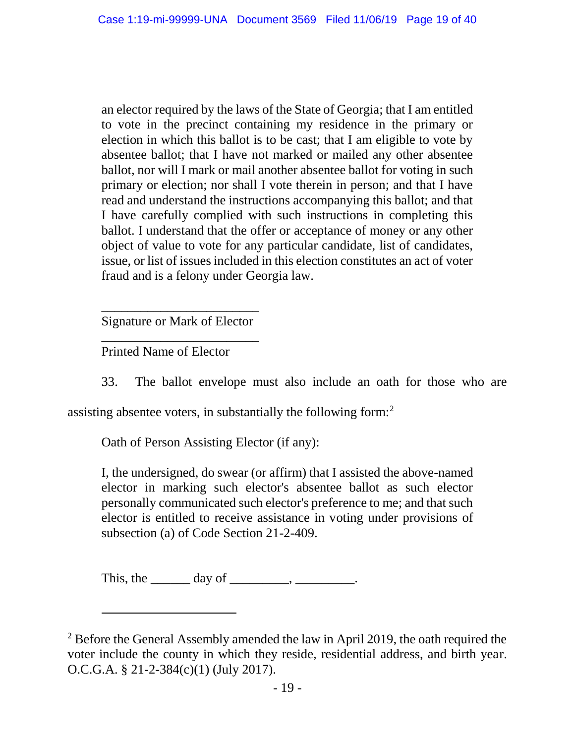an elector required by the laws of the State of Georgia; that I am entitled to vote in the precinct containing my residence in the primary or election in which this ballot is to be cast; that I am eligible to vote by absentee ballot; that I have not marked or mailed any other absentee ballot, nor will I mark or mail another absentee ballot for voting in such primary or election; nor shall I vote therein in person; and that I have read and understand the instructions accompanying this ballot; and that I have carefully complied with such instructions in completing this ballot. I understand that the offer or acceptance of money or any other object of value to vote for any particular candidate, list of candidates, issue, or list of issues included in this election constitutes an act of voter fraud and is a felony under Georgia law.

\_\_\_\_\_\_\_\_\_\_\_\_\_\_\_\_\_\_\_\_\_\_\_\_ Signature or Mark of Elector \_\_\_\_\_\_\_\_\_\_\_\_\_\_\_\_\_\_\_\_\_\_\_\_

Printed Name of Elector

 $\overline{a}$ 

33. The ballot envelope must also include an oath for those who are

assisting absentee voters, in substantially the following form: $2$ 

Oath of Person Assisting Elector (if any):

I, the undersigned, do swear (or affirm) that I assisted the above-named elector in marking such elector's absentee ballot as such elector personally communicated such elector's preference to me; and that such elector is entitled to receive assistance in voting under provisions of subsection (a) of Code Section 21-2-409.

This, the  $\_\_\_\_\_\_\_\$  day of  $\_\_\_\_\_\_\_\_\_\_\_\.\_$ 

 $2$  Before the General Assembly amended the law in April 2019, the oath required the voter include the county in which they reside, residential address, and birth year. O.C.G.A. § 21-2-384(c)(1) (July 2017).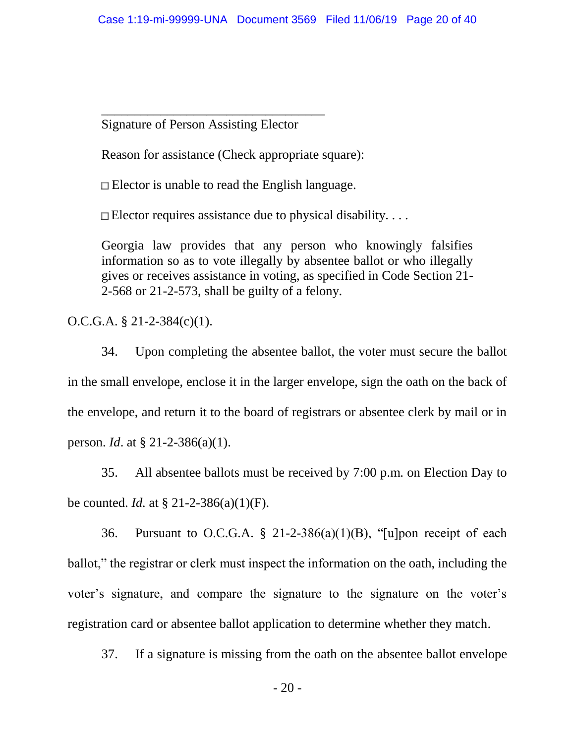Signature of Person Assisting Elector

\_\_\_\_\_\_\_\_\_\_\_\_\_\_\_\_\_\_\_\_\_\_\_\_\_\_\_\_\_\_\_\_\_\_

Reason for assistance (Check appropriate square):

 $\Box$  Elector is unable to read the English language.

 $\Box$  Elector requires assistance due to physical disability....

Georgia law provides that any person who knowingly falsifies information so as to vote illegally by absentee ballot or who illegally gives or receives assistance in voting, as specified in Code Section 21- 2-568 or 21-2-573, shall be guilty of a felony.

O.C.G.A. § 21-2-384(c)(1).

34. Upon completing the absentee ballot, the voter must secure the ballot in the small envelope, enclose it in the larger envelope, sign the oath on the back of the envelope, and return it to the board of registrars or absentee clerk by mail or in person. *Id*. at § 21-2-386(a)(1).

35. All absentee ballots must be received by 7:00 p.m. on Election Day to be counted. *Id.* at § 21-2-386(a)(1)(F).

36. Pursuant to O.C.G.A.  $\S$  21-2-386(a)(1)(B), "[u]pon receipt of each ballot," the registrar or clerk must inspect the information on the oath, including the voter's signature, and compare the signature to the signature on the voter's registration card or absentee ballot application to determine whether they match.

37. If a signature is missing from the oath on the absentee ballot envelope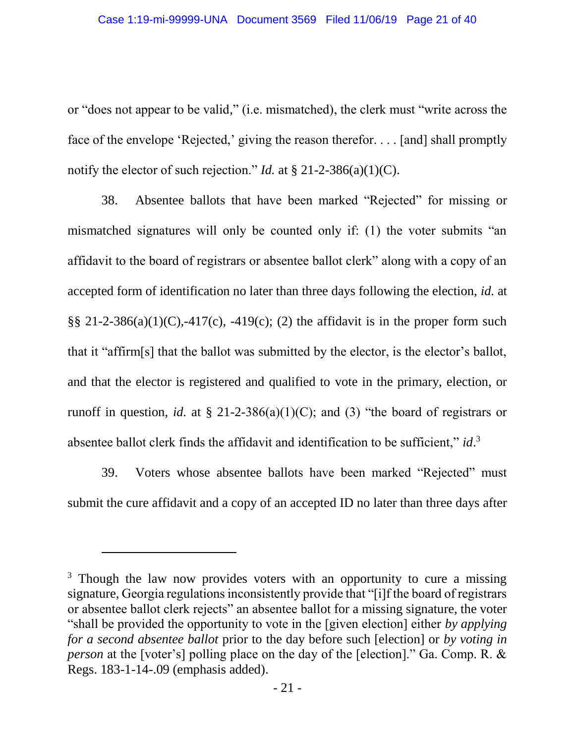or "does not appear to be valid," (i.e. mismatched), the clerk must "write across the face of the envelope 'Rejected,' giving the reason therefor. . . . [and] shall promptly notify the elector of such rejection." *Id.* at § 21-2-386(a)(1)(C).

38. Absentee ballots that have been marked "Rejected" for missing or mismatched signatures will only be counted only if: (1) the voter submits "an affidavit to the board of registrars or absentee ballot clerk" along with a copy of an accepted form of identification no later than three days following the election, *id.* at  $\S$ § 21-2-386(a)(1)(C),-417(c), -419(c); (2) the affidavit is in the proper form such that it "affirm[s] that the ballot was submitted by the elector, is the elector's ballot, and that the elector is registered and qualified to vote in the primary, election, or runoff in question, *id.* at  $\S$  21-2-386(a)(1)(C); and (3) "the board of registrars or absentee ballot clerk finds the affidavit and identification to be sufficient," *id*.<sup>3</sup>

39. Voters whose absentee ballots have been marked "Rejected" must submit the cure affidavit and a copy of an accepted ID no later than three days after

 $\overline{a}$ 

<sup>&</sup>lt;sup>3</sup> Though the law now provides voters with an opportunity to cure a missing signature, Georgia regulations inconsistently provide that "[i]f the board of registrars or absentee ballot clerk rejects" an absentee ballot for a missing signature, the voter "shall be provided the opportunity to vote in the [given election] either *by applying for a second absentee ballot* prior to the day before such [election] or *by voting in person* at the [voter's] polling place on the day of the [election]." Ga. Comp. R. & Regs. 183-1-14-.09 (emphasis added).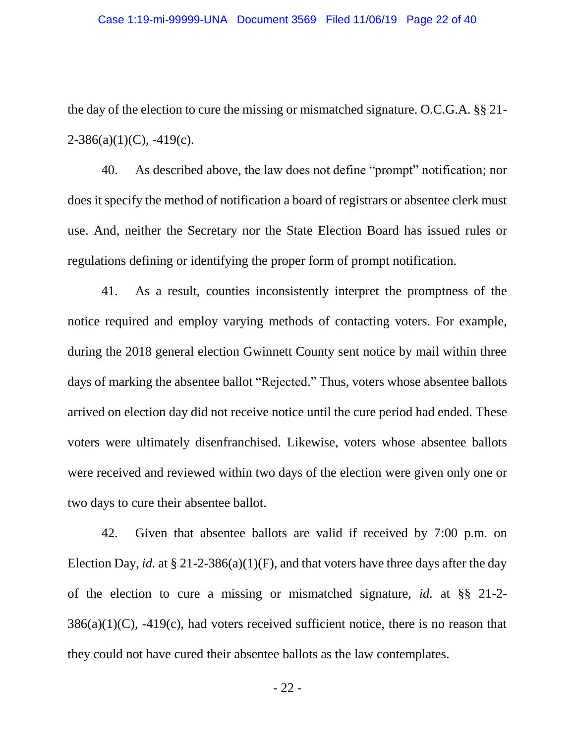the day of the election to cure the missing or mismatched signature. O.C.G.A. §§ 21-  $2-386(a)(1)(C)$ ,  $-419(c)$ .

40. As described above, the law does not define "prompt" notification; nor does it specify the method of notification a board of registrars or absentee clerk must use. And, neither the Secretary nor the State Election Board has issued rules or regulations defining or identifying the proper form of prompt notification.

41. As a result, counties inconsistently interpret the promptness of the notice required and employ varying methods of contacting voters. For example, during the 2018 general election Gwinnett County sent notice by mail within three days of marking the absentee ballot "Rejected." Thus, voters whose absentee ballots arrived on election day did not receive notice until the cure period had ended. These voters were ultimately disenfranchised. Likewise, voters whose absentee ballots were received and reviewed within two days of the election were given only one or two days to cure their absentee ballot.

42. Given that absentee ballots are valid if received by 7:00 p.m. on Election Day, *id.* at § 21-2-386(a)(1)(F), and that voters have three days after the day of the election to cure a missing or mismatched signature, *id.* at §§ 21-2-  $386(a)(1)(C)$ ,  $-419(c)$ , had voters received sufficient notice, there is no reason that they could not have cured their absentee ballots as the law contemplates.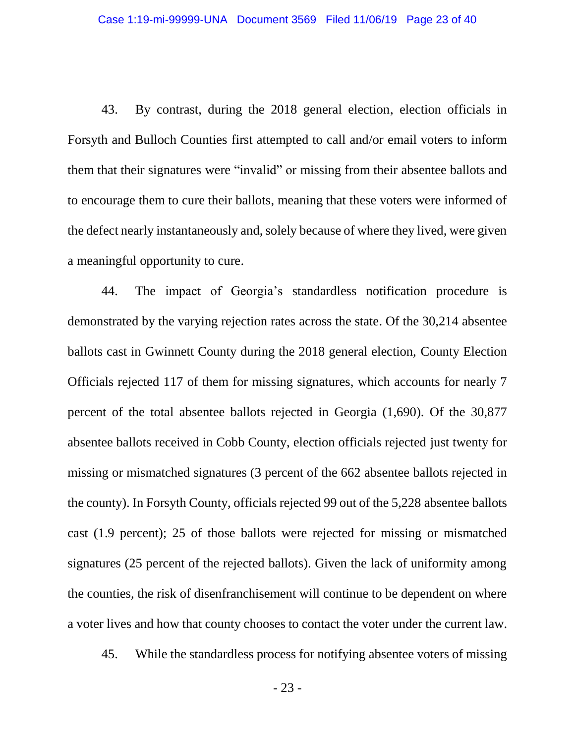43. By contrast, during the 2018 general election, election officials in Forsyth and Bulloch Counties first attempted to call and/or email voters to inform them that their signatures were "invalid" or missing from their absentee ballots and to encourage them to cure their ballots, meaning that these voters were informed of the defect nearly instantaneously and, solely because of where they lived, were given a meaningful opportunity to cure.

44. The impact of Georgia's standardless notification procedure is demonstrated by the varying rejection rates across the state. Of the 30,214 absentee ballots cast in Gwinnett County during the 2018 general election, County Election Officials rejected 117 of them for missing signatures, which accounts for nearly 7 percent of the total absentee ballots rejected in Georgia (1,690). Of the 30,877 absentee ballots received in Cobb County, election officials rejected just twenty for missing or mismatched signatures (3 percent of the 662 absentee ballots rejected in the county). In Forsyth County, officials rejected 99 out of the 5,228 absentee ballots cast (1.9 percent); 25 of those ballots were rejected for missing or mismatched signatures (25 percent of the rejected ballots). Given the lack of uniformity among the counties, the risk of disenfranchisement will continue to be dependent on where a voter lives and how that county chooses to contact the voter under the current law.

45. While the standardless process for notifying absentee voters of missing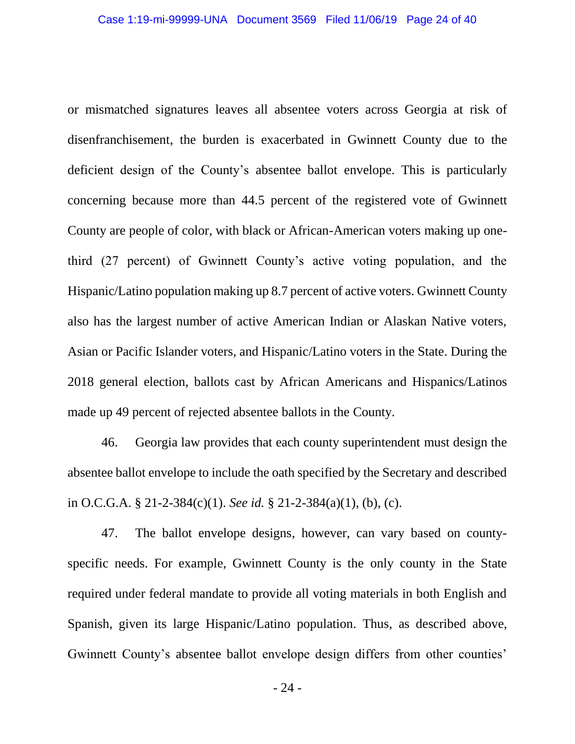or mismatched signatures leaves all absentee voters across Georgia at risk of disenfranchisement, the burden is exacerbated in Gwinnett County due to the deficient design of the County's absentee ballot envelope. This is particularly concerning because more than 44.5 percent of the registered vote of Gwinnett County are people of color, with black or African-American voters making up onethird (27 percent) of Gwinnett County's active voting population, and the Hispanic/Latino population making up 8.7 percent of active voters. Gwinnett County also has the largest number of active American Indian or Alaskan Native voters, Asian or Pacific Islander voters, and Hispanic/Latino voters in the State. During the 2018 general election, ballots cast by African Americans and Hispanics/Latinos made up 49 percent of rejected absentee ballots in the County.

46. Georgia law provides that each county superintendent must design the absentee ballot envelope to include the oath specified by the Secretary and described in O.C.G.A. § 21-2-384(c)(1). *See id.* § 21-2-384(a)(1), (b), (c).

47. The ballot envelope designs, however, can vary based on countyspecific needs. For example, Gwinnett County is the only county in the State required under federal mandate to provide all voting materials in both English and Spanish, given its large Hispanic/Latino population. Thus, as described above, Gwinnett County's absentee ballot envelope design differs from other counties'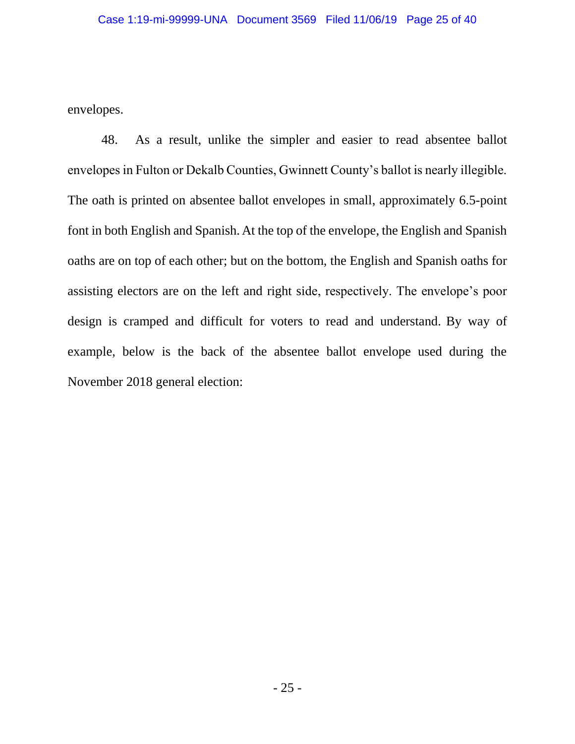envelopes.

48. As a result, unlike the simpler and easier to read absentee ballot envelopes in Fulton or Dekalb Counties, Gwinnett County's ballot is nearly illegible. The oath is printed on absentee ballot envelopes in small, approximately 6.5-point font in both English and Spanish. At the top of the envelope, the English and Spanish oaths are on top of each other; but on the bottom, the English and Spanish oaths for assisting electors are on the left and right side, respectively. The envelope's poor design is cramped and difficult for voters to read and understand. By way of example, below is the back of the absentee ballot envelope used during the November 2018 general election: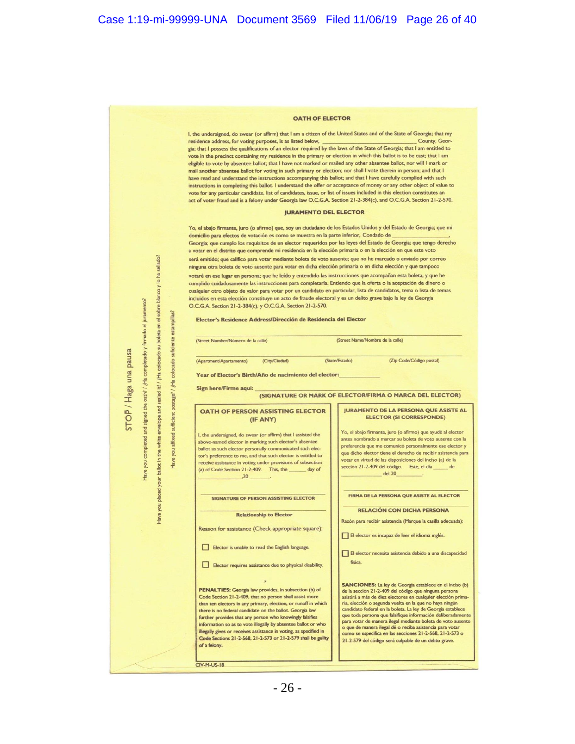

I, the undersigned, do swear (or affirm) that I am a citizen of the United States and of the State of Georgia; that my residence address, for voting purposes, is as listed below, County, Georgia; that I possess the qualifications of an elector required by the laws of the State of Georgia; that I am entitled to vote in the precinct containing my residence in the primary or election in which this ballot is to be cast; that I am eligible to vote by absentee ballot; that I have not marked or mailed any other absentee ballot, nor will I mark or mail another absentee ballot for voting in such primary or election; nor shall I vote therein in person; and that I have read and understand the instructions accompanying this ballot; and that I have carefully complied with such instructions in completing this ballot. I understand the offer or acceptance of money or any other object of value to vote for any particular candidate, list of candidates, issue, or list of issues included in this election constitutes an act of voter fraud and is a felony under Georgia law O.C.G.A. Section 21-2-384(c), and O.C.G.A. Section 21-2-570.

#### **JURAMENTO DEL ELECTOR**

Yo, el abajo firmante, juro (o afirmo) que, soy un ciudadano de los Estados Unidos y del Estado de Georgia; que mi domicilio para efectos de votación es como se muestra en la parte inferior, Condado de Georgia; que cumplo los requisitos de un elector requeridos por las leyes del Estado de Georgia; que tengo derecho a votar en el distrito que comprende mi residencia en la elección primaria o en la elección en que este voto será emitido; que califico para votar mediante boleta de voto ausente; que no he marcado o enviado por correo ninguna otra boleta de voto ausente para votar en dicha elección primaria o en dicha elección y que tampoco votaré en ese lugar en persona; que he leído y entendido las instrucciones que acompañan esta boleta, y que he cumplido cuidadosamente las instrucciones para completarla. Entiendo que la oferta o la aceptación de dinero o cualquier otro objeto de valor para votar por un candidato en particular, lista de candidatos, tema o lista de temas incluidos en esta elección constituye un acto de fraude electoral y es un delito grave bajo la ley de Georgia O.C.G.A. Section 21-2-384(c), y O.C.G.A. Section 21-2-570.

Elector's Residence Address/Dirección de Residencia del Elector

(Street Name/Nombre de la calle) (Street Number/Número de la calle)

(Apartment/Apartamento)

(City/Ciudad)

(State/Estado) (Zip Code/Código postal)

Year of Elector's Birth/Año de nacimiento del elector:

Sign here/Firme aquí:

sellado?

colocado su boleta en el sobre blanco y lo ha

¿Ha

envelope

white

your you placed

Have

estampillas?

suficiente

colocado

iHa  $15<sup>2</sup>$ 

sufficient postage?

affixed

nok ballot in the

Have

firmado el juramento?

completado y

iHa

oath? sealed

the and

**Pa** 

nok

tave

STOP / Haga una pausa

(SIGNATURE OR MARK OF ELECTOR/FIRMA O MARCA DEL ELECTOR)

#### OATH OF PERSON ASSISTING ELECTOR (IF ANY)

I, the undersigned, do swear (or affirm) that I assisted the above-named elector in marking such elector's absentee ballot as such elector personally communicated such elector's preference to me, and that such elector is entitled to receive assistance in voting under provisions of subsection<br>(a) of Code Section 21-2-409. This, the \_\_\_\_\_\_\_ day of  $.20$ 

SIGNATURE OF PERSON ASSISTING ELECTOR

#### **Relationship to Elector**

Reason for assistance (Check appropriate square):

Elector is unable to read the English language.

Elector requires assistance due to physical disability.

**PENALTIES:** Georgia law provides, in subsection (b) of Code Section 21-2-409, that no person shall assist more than ten electors in any primary, election, or runoff in which there is no federal candidate on the ballot. Georgia law further provides that any person who knowingly falsifies information so as to vote illegally by absentee ballot or who illegally gives or receives assistance in voting, as specified in Code Sections 21-2-568, 21-2-573 or 21-2-579 shall be guilty of a felony.

**CIV-M-US-18** 

#### **JURAMENTO DE LA PERSONA QUE ASISTE AL ELECTOR (SI CORRESPONDE)**

Yo, el abajo firmante, juro (o afirmo) que ayudé al elector antes nombrado a marcar su boleta de voto ausente con la preferencia que me comunicó personalmente ese elector y que dicho elector tiene el derecho de recibir asistencia para votar en virtud de las disposiciones del inciso (a) de la sección 21-2-409 del código. Este, el día \_ de  $del 20$ 

FIRMA DE LA PERSONA QUE ASISTE AL ELECTOR

**RELACIÓN CON DICHA PERSONA** 

Razón para recibir asistencia (Marque la casilla adecuada):

El elector es incapaz de leer el idioma inglés.

El elector necesita asistencia debido a una discapacidad física.

**SANCIONES:** La ley de Georgia establece en el inciso (b) de la sección 21-2-409 del código que ninguna persona<br>asistirá a más de diez electores en cualquier elección primaria, elección o segunda vuelta en la que no haya ningún candidato federal en la boleta. La ley de Georgia establece<br>que toda persona que falsifique información deliberadamente para votar de manera ilegal mediante boleta de voto ausente<br>o que de manera ilegal dé o reciba asistencia para votar<br>como se específica en las secciones 21-2-568, 21-2-573 o 21-2-579 del código será culpable de un delito grave.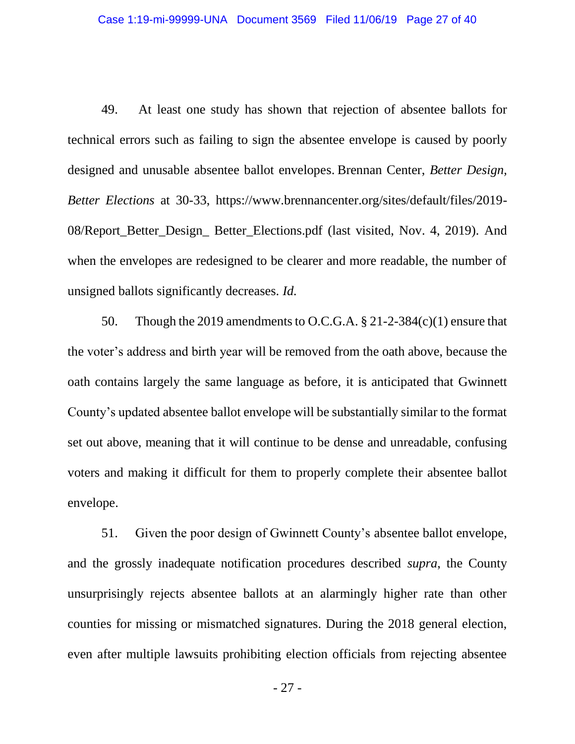49. At least one study has shown that rejection of absentee ballots for technical errors such as failing to sign the absentee envelope is caused by poorly designed and unusable absentee ballot envelopes. Brennan Center, *Better Design, Better Elections* at 30-33, https://www.brennancenter.org/sites/default/files/2019- 08/Report\_Better\_Design\_ Better\_Elections.pdf (last visited, Nov. 4, 2019). And when the envelopes are redesigned to be clearer and more readable, the number of unsigned ballots significantly decreases. *Id.*

50. Though the 2019 amendments to O.C.G.A.  $\S 21-2-384(c)(1)$  ensure that the voter's address and birth year will be removed from the oath above, because the oath contains largely the same language as before, it is anticipated that Gwinnett County's updated absentee ballot envelope will be substantially similar to the format set out above, meaning that it will continue to be dense and unreadable, confusing voters and making it difficult for them to properly complete their absentee ballot envelope.

51. Given the poor design of Gwinnett County's absentee ballot envelope, and the grossly inadequate notification procedures described *supra*, the County unsurprisingly rejects absentee ballots at an alarmingly higher rate than other counties for missing or mismatched signatures. During the 2018 general election, even after multiple lawsuits prohibiting election officials from rejecting absentee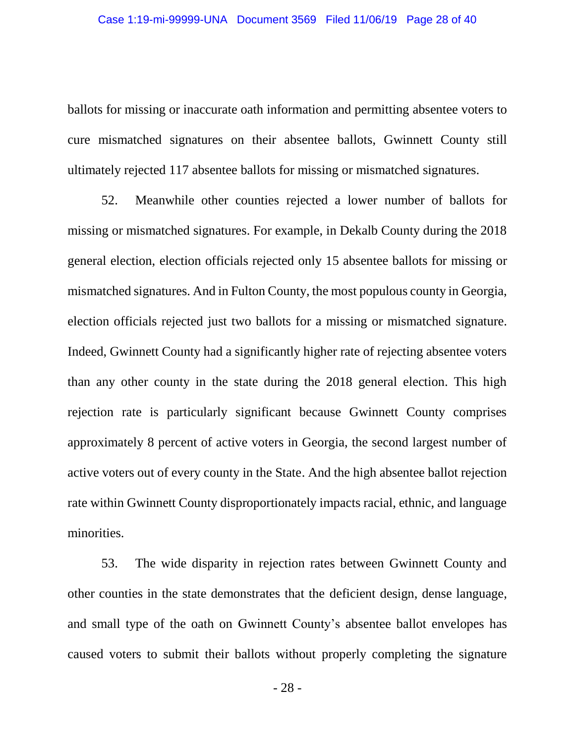ballots for missing or inaccurate oath information and permitting absentee voters to cure mismatched signatures on their absentee ballots, Gwinnett County still ultimately rejected 117 absentee ballots for missing or mismatched signatures.

52. Meanwhile other counties rejected a lower number of ballots for missing or mismatched signatures. For example, in Dekalb County during the 2018 general election, election officials rejected only 15 absentee ballots for missing or mismatched signatures. And in Fulton County, the most populous county in Georgia, election officials rejected just two ballots for a missing or mismatched signature. Indeed, Gwinnett County had a significantly higher rate of rejecting absentee voters than any other county in the state during the 2018 general election. This high rejection rate is particularly significant because Gwinnett County comprises approximately 8 percent of active voters in Georgia, the second largest number of active voters out of every county in the State. And the high absentee ballot rejection rate within Gwinnett County disproportionately impacts racial, ethnic, and language minorities.

53. The wide disparity in rejection rates between Gwinnett County and other counties in the state demonstrates that the deficient design, dense language, and small type of the oath on Gwinnett County's absentee ballot envelopes has caused voters to submit their ballots without properly completing the signature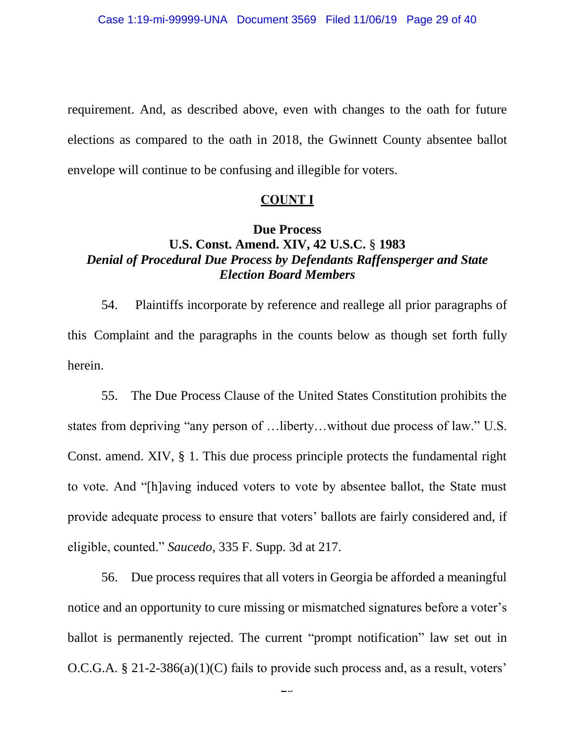requirement. And, as described above, even with changes to the oath for future elections as compared to the oath in 2018, the Gwinnett County absentee ballot envelope will continue to be confusing and illegible for voters.

#### **COUNT I**

## **Due Process U.S. Const. Amend. XIV, 42 U.S.C.** § **1983** *Denial of Procedural Due Process by Defendants Raffensperger and State Election Board Members*

54. Plaintiffs incorporate by reference and reallege all prior paragraphs of this Complaint and the paragraphs in the counts below as though set forth fully herein.

55. The Due Process Clause of the United States Constitution prohibits the states from depriving "any person of …liberty…without due process of law." U.S. Const. amend. XIV, § 1. This due process principle protects the fundamental right to vote. And "[h]aving induced voters to vote by absentee ballot, the State must provide adequate process to ensure that voters' ballots are fairly considered and, if eligible, counted." *Saucedo*, 335 F. Supp. 3d at 217.

56. Due process requires that all voters in Georgia be afforded a meaningful notice and an opportunity to cure missing or mismatched signatures before a voter's ballot is permanently rejected. The current "prompt notification" law set out in O.C.G.A. § 21-2-386(a)(1)(C) fails to provide such process and, as a result, voters'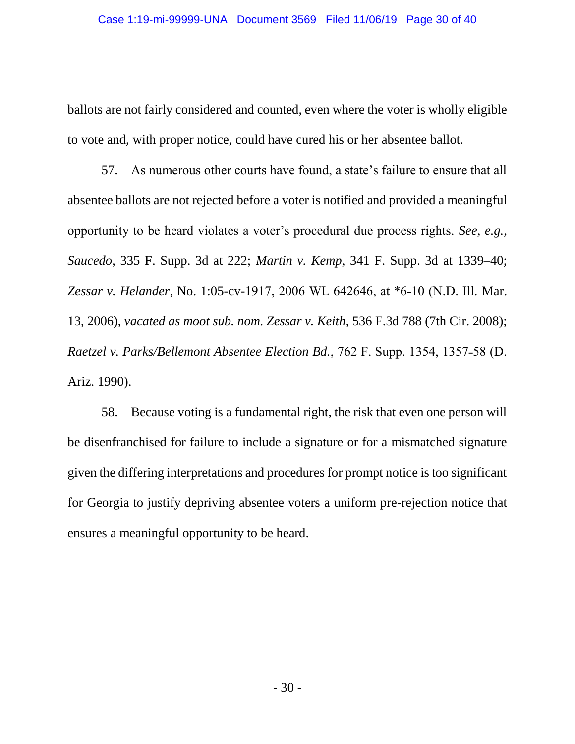ballots are not fairly considered and counted, even where the voter is wholly eligible to vote and, with proper notice, could have cured his or her absentee ballot.

57. As numerous other courts have found, a state's failure to ensure that all absentee ballots are not rejected before a voter is notified and provided a meaningful opportunity to be heard violates a voter's procedural due process rights. *See, e.g.*, *Saucedo*, 335 F. Supp. 3d at 222; *Martin v. Kemp*, 341 F. Supp. 3d at 1339–40; Zessar v. Helander, No. 1:05-cv-1917, 2006 WL 642646, at \*6-10 (N.D. Ill. Mar. 13, 2006), *vacated as moot sub. nom. Zessar v. Keith*, 536 F.3d 788 (7th Cir. 2008); *Raetzel v. Parks/Bellemont Absentee Election Bd., 762 F. Supp. 1354, 1357-58 (D.*) Ariz. 1990).

58. Because voting is a fundamental right, the risk that even one person will be disenfranchised for failure to include a signature or for a mismatched signature given the differing interpretations and procedures for prompt notice is too significant for Georgia to justify depriving absentee voters a uniform pre-rejection notice that ensures a meaningful opportunity to be heard.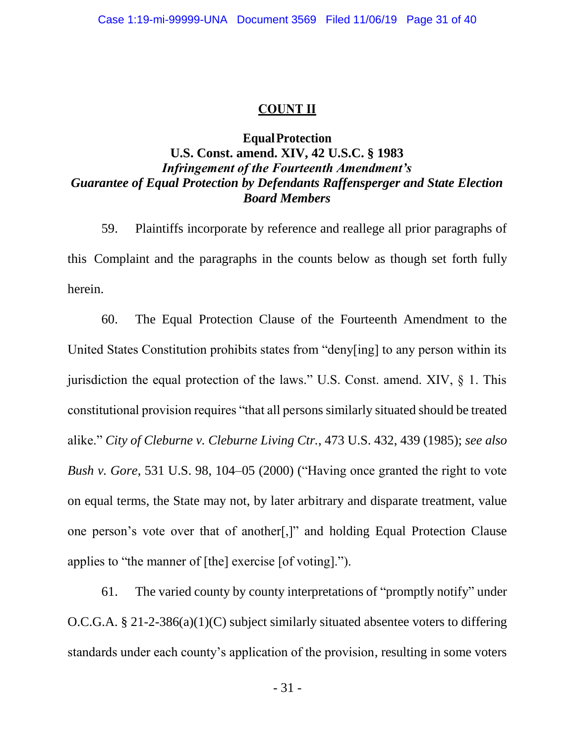#### **COUNT II**

### **EqualProtection**

## **U.S. Const. amend. XIV, 42 U.S.C. § 1983** *Infringement of the Fourteenth Amendment's Guarantee of Equal Protection by Defendants Raffensperger and State Election Board Members*

59. Plaintiffs incorporate by reference and reallege all prior paragraphs of this Complaint and the paragraphs in the counts below as though set forth fully herein.

60. The Equal Protection Clause of the Fourteenth Amendment to the United States Constitution prohibits states from "deny[ing] to any person within its jurisdiction the equal protection of the laws." U.S. Const. amend. XIV, § 1. This constitutional provision requires "that all persons similarly situated should be treated alike." *City of Cleburne v. Cleburne Living Ctr.*, 473 U.S. 432, 439 (1985); *see also Bush v. Gore*, 531 U.S. 98, 104–05 (2000) ("Having once granted the right to vote on equal terms, the State may not, by later arbitrary and disparate treatment, value one person's vote over that of another[,]" and holding Equal Protection Clause applies to "the manner of [the] exercise [of voting].").

61. The varied county by county interpretations of "promptly notify" under O.C.G.A. § 21-2-386(a)(1)(C) subject similarly situated absentee voters to differing standards under each county's application of the provision, resulting in some voters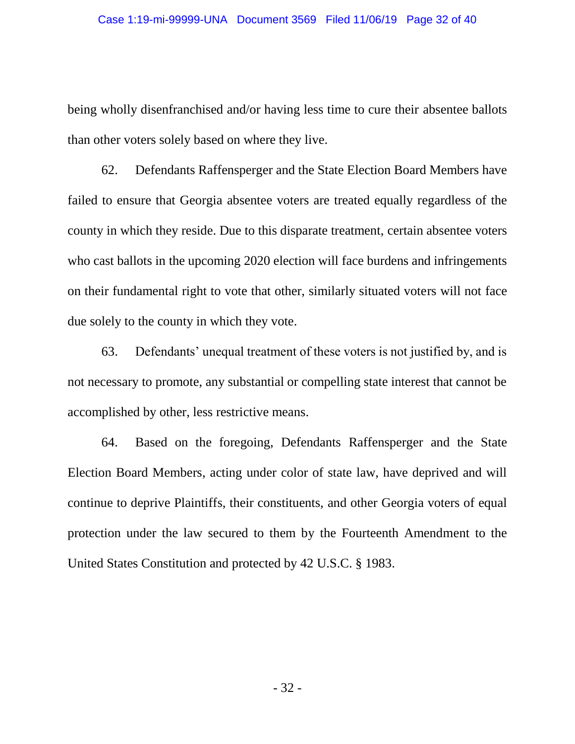being wholly disenfranchised and/or having less time to cure their absentee ballots than other voters solely based on where they live.

62. Defendants Raffensperger and the State Election Board Members have failed to ensure that Georgia absentee voters are treated equally regardless of the county in which they reside. Due to this disparate treatment, certain absentee voters who cast ballots in the upcoming 2020 election will face burdens and infringements on their fundamental right to vote that other, similarly situated voters will not face due solely to the county in which they vote.

63. Defendants' unequal treatment of these voters is not justified by, and is not necessary to promote, any substantial or compelling state interest that cannot be accomplished by other, less restrictive means.

64. Based on the foregoing, Defendants Raffensperger and the State Election Board Members, acting under color of state law, have deprived and will continue to deprive Plaintiffs, their constituents, and other Georgia voters of equal protection under the law secured to them by the Fourteenth Amendment to the United States Constitution and protected by 42 U.S.C. § 1983.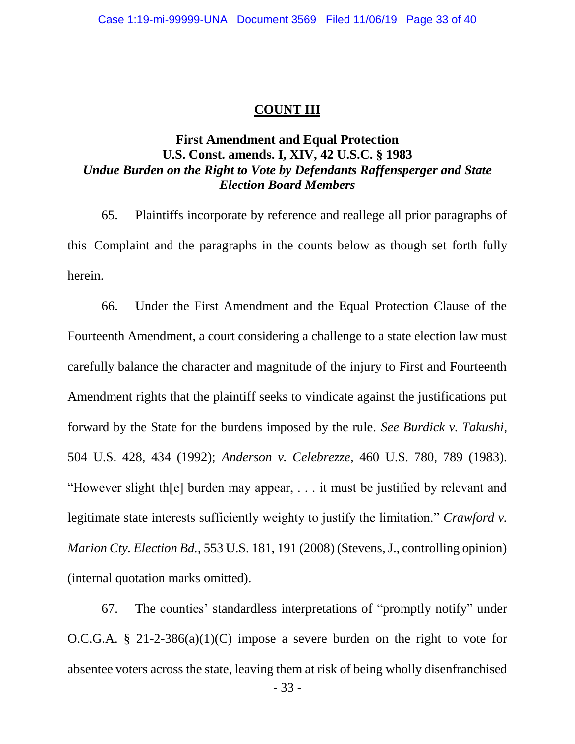### **COUNT III**

## **First Amendment and Equal Protection U.S. Const. amends. I, XIV, 42 U.S.C. § 1983** *Undue Burden on the Right to Vote by Defendants Raffensperger and State Election Board Members*

65. Plaintiffs incorporate by reference and reallege all prior paragraphs of this Complaint and the paragraphs in the counts below as though set forth fully herein.

66. Under the First Amendment and the Equal Protection Clause of the Fourteenth Amendment, a court considering a challenge to a state election law must carefully balance the character and magnitude of the injury to First and Fourteenth Amendment rights that the plaintiff seeks to vindicate against the justifications put forward by the State for the burdens imposed by the rule. *See Burdick v. Takushi*, 504 U.S. 428, 434 (1992); *Anderson v. Celebrezze*, 460 U.S. 780, 789 (1983). "However slight th[e] burden may appear, . . . it must be justified by relevant and legitimate state interests sufficiently weighty to justify the limitation." *Crawford v. Marion Cty. Election Bd.*, 553 U.S. 181, 191 (2008) (Stevens, J., controlling opinion) (internal quotation marks omitted).

67. The counties' standardless interpretations of "promptly notify" under O.C.G.A. § 21-2-386(a)(1)(C) impose a severe burden on the right to vote for absentee voters across the state, leaving them at risk of being wholly disenfranchised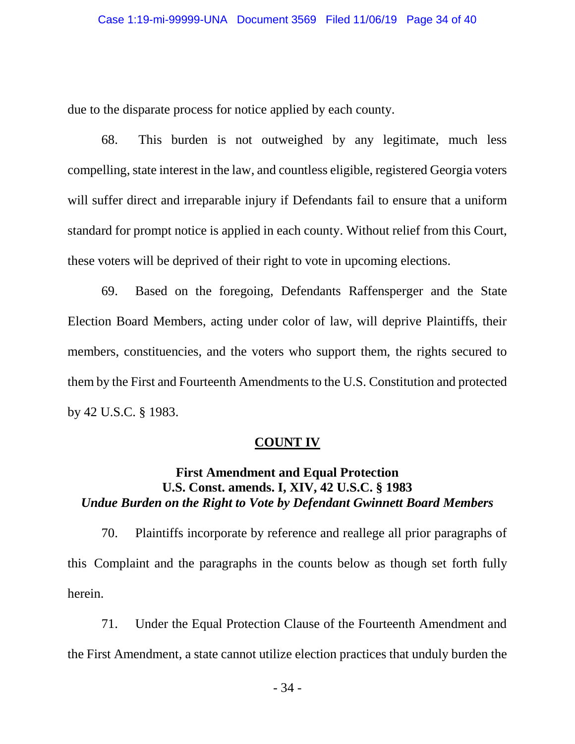due to the disparate process for notice applied by each county.

68. This burden is not outweighed by any legitimate, much less compelling, state interest in the law, and countless eligible, registered Georgia voters will suffer direct and irreparable injury if Defendants fail to ensure that a uniform standard for prompt notice is applied in each county. Without relief from this Court, these voters will be deprived of their right to vote in upcoming elections.

69. Based on the foregoing, Defendants Raffensperger and the State Election Board Members, acting under color of law, will deprive Plaintiffs, their members, constituencies, and the voters who support them, the rights secured to them by the First and Fourteenth Amendments to the U.S. Constitution and protected by 42 U.S.C. § 1983.

### **COUNT IV**

## **First Amendment and Equal Protection U.S. Const. amends. I, XIV, 42 U.S.C. § 1983** *Undue Burden on the Right to Vote by Defendant Gwinnett Board Members*

70. Plaintiffs incorporate by reference and reallege all prior paragraphs of this Complaint and the paragraphs in the counts below as though set forth fully herein.

71. Under the Equal Protection Clause of the Fourteenth Amendment and the First Amendment, a state cannot utilize election practices that unduly burden the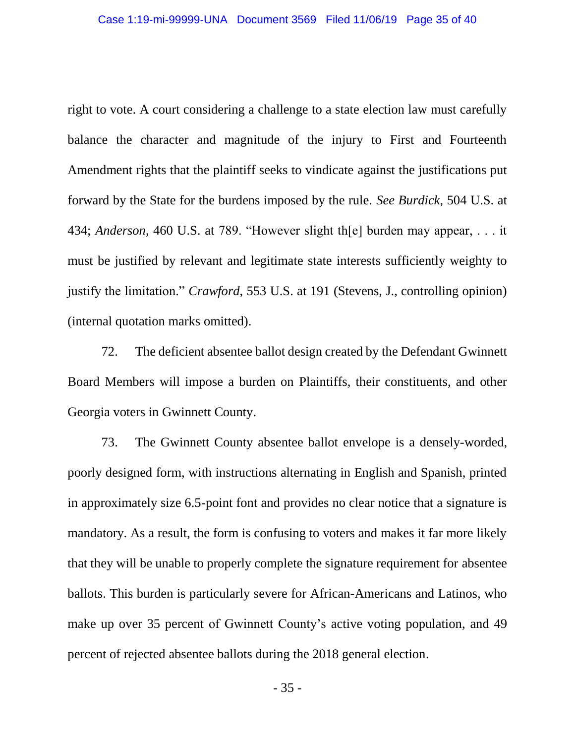right to vote. A court considering a challenge to a state election law must carefully balance the character and magnitude of the injury to First and Fourteenth Amendment rights that the plaintiff seeks to vindicate against the justifications put forward by the State for the burdens imposed by the rule. *See Burdick*, 504 U.S. at 434; *Anderson*, 460 U.S. at 789. "However slight th[e] burden may appear, . . . it must be justified by relevant and legitimate state interests sufficiently weighty to justify the limitation." *Crawford*, 553 U.S. at 191 (Stevens, J., controlling opinion) (internal quotation marks omitted).

72. The deficient absentee ballot design created by the Defendant Gwinnett Board Members will impose a burden on Plaintiffs, their constituents, and other Georgia voters in Gwinnett County.

73. The Gwinnett County absentee ballot envelope is a densely-worded, poorly designed form, with instructions alternating in English and Spanish, printed in approximately size 6.5-point font and provides no clear notice that a signature is mandatory. As a result, the form is confusing to voters and makes it far more likely that they will be unable to properly complete the signature requirement for absentee ballots. This burden is particularly severe for African-Americans and Latinos, who make up over 35 percent of Gwinnett County's active voting population, and 49 percent of rejected absentee ballots during the 2018 general election.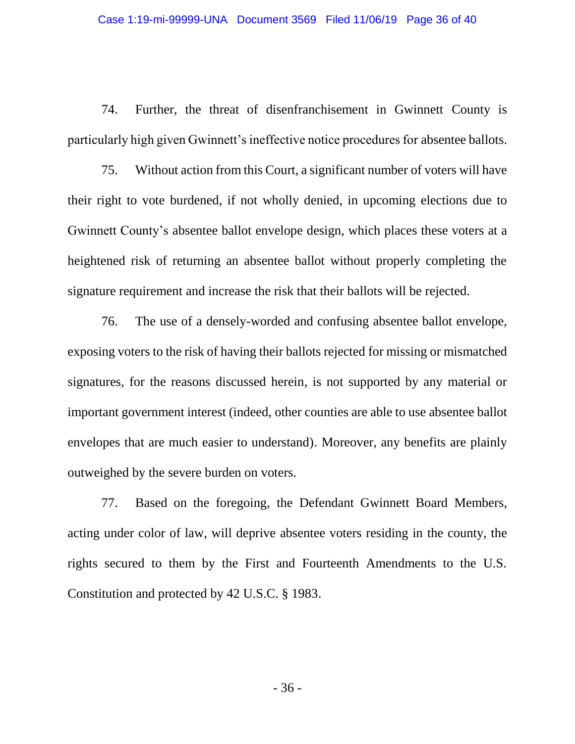74. Further, the threat of disenfranchisement in Gwinnett County is particularly high given Gwinnett's ineffective notice procedures for absentee ballots.

75. Without action from this Court, a significant number of voters will have their right to vote burdened, if not wholly denied, in upcoming elections due to Gwinnett County's absentee ballot envelope design, which places these voters at a heightened risk of returning an absentee ballot without properly completing the signature requirement and increase the risk that their ballots will be rejected.

76. The use of a densely-worded and confusing absentee ballot envelope, exposing voters to the risk of having their ballots rejected for missing or mismatched signatures, for the reasons discussed herein, is not supported by any material or important government interest (indeed, other counties are able to use absentee ballot envelopes that are much easier to understand). Moreover, any benefits are plainly outweighed by the severe burden on voters.

77. Based on the foregoing, the Defendant Gwinnett Board Members, acting under color of law, will deprive absentee voters residing in the county, the rights secured to them by the First and Fourteenth Amendments to the U.S. Constitution and protected by 42 U.S.C. § 1983.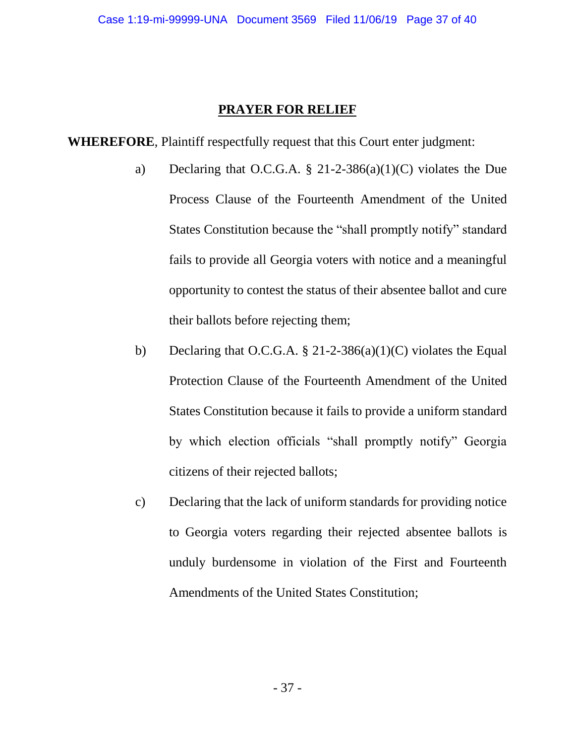## **PRAYER FOR RELIEF**

**WHEREFORE**, Plaintiff respectfully request that this Court enter judgment:

- a) Declaring that O.C.G.A. § 21-2-386(a)(1)(C) violates the Due Process Clause of the Fourteenth Amendment of the United States Constitution because the "shall promptly notify" standard fails to provide all Georgia voters with notice and a meaningful opportunity to contest the status of their absentee ballot and cure their ballots before rejecting them;
- b) Declaring that O.C.G.A.  $\S 21-2-386(a)(1)(C)$  violates the Equal Protection Clause of the Fourteenth Amendment of the United States Constitution because it fails to provide a uniform standard by which election officials "shall promptly notify" Georgia citizens of their rejected ballots;
- c) Declaring that the lack of uniform standards for providing notice to Georgia voters regarding their rejected absentee ballots is unduly burdensome in violation of the First and Fourteenth Amendments of the United States Constitution;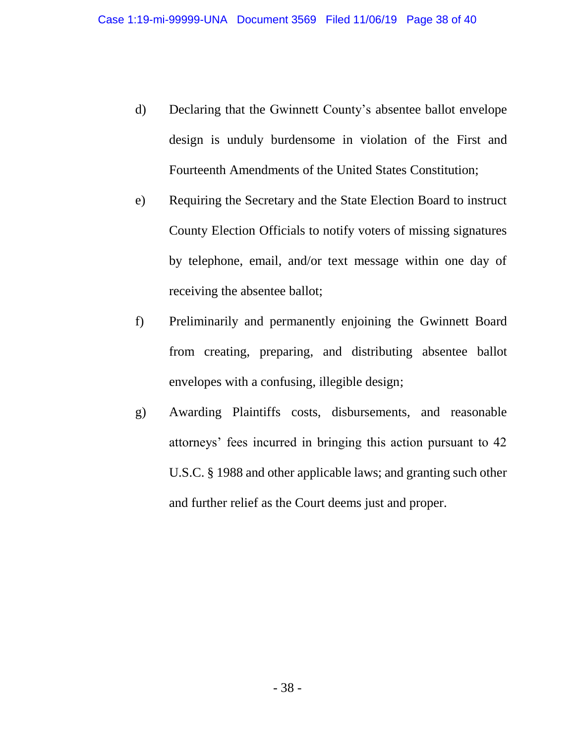- d) Declaring that the Gwinnett County's absentee ballot envelope design is unduly burdensome in violation of the First and Fourteenth Amendments of the United States Constitution;
- e) Requiring the Secretary and the State Election Board to instruct County Election Officials to notify voters of missing signatures by telephone, email, and/or text message within one day of receiving the absentee ballot;
- f) Preliminarily and permanently enjoining the Gwinnett Board from creating, preparing, and distributing absentee ballot envelopes with a confusing, illegible design;
- g) Awarding Plaintiffs costs, disbursements, and reasonable attorneys' fees incurred in bringing this action pursuant to 42 U.S.C. § 1988 and other applicable laws; and granting such other and further relief as the Court deems just and proper.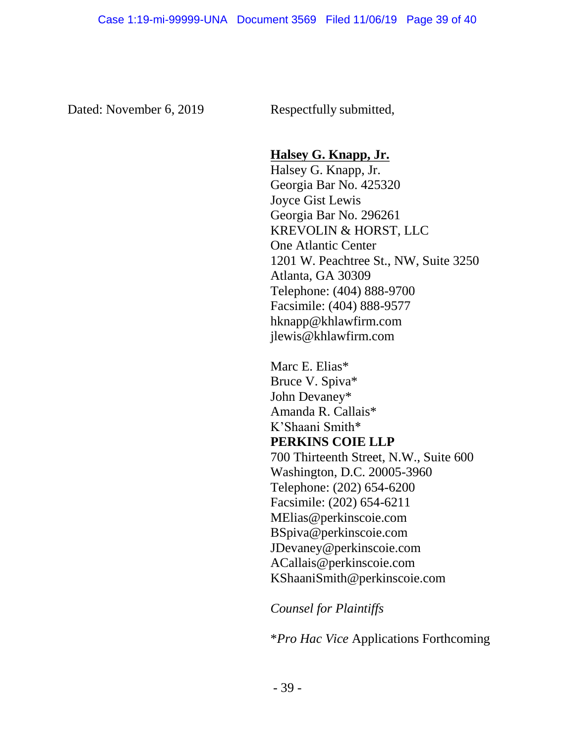Dated: November 6, 2019 Respectfully submitted,

## **Halsey G. Knapp, Jr.**

Halsey G. Knapp, Jr. Georgia Bar No. 425320 Joyce Gist Lewis Georgia Bar No. 296261 KREVOLIN & HORST, LLC One Atlantic Center 1201 W. Peachtree St., NW, Suite 3250 Atlanta, GA 30309 Telephone: (404) 888-9700 Facsimile: (404) 888-9577 hknapp@khlawfirm.com jlewis@khlawfirm.com

Marc E. Elias\* Bruce V. Spiva\* John Devaney\* Amanda R. Callais\* K'Shaani Smith\* **PERKINS COIE LLP** 700 Thirteenth Street, N.W., Suite 600 Washington, D.C. 20005-3960 Telephone: (202) 654-6200 Facsimile: (202) 654-6211 MElias@perkinscoie.com BSpiva@perkinscoie.com JDevaney@perkinscoie.com ACallais@perkinscoie.com KShaaniSmith@perkinscoie.com

*Counsel for Plaintiffs*

\**Pro Hac Vice* Applications Forthcoming